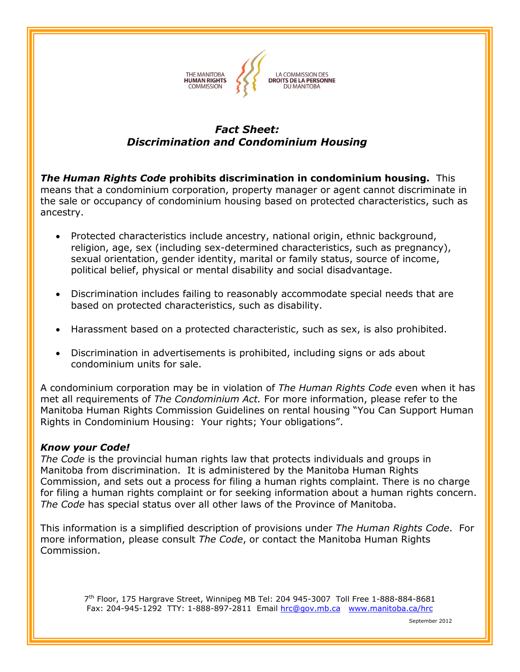

### **Fact Sheet: Discrimination and Condominium Housing**

**The Human Rights Code prohibits discrimination in condominium housing.** This **noting The Human Rights Code prohibits discrimination in condominium housing.** This **the same of the set of the set o**<br>means that a condominium corporation, property manager or agent cannot discriminate in means that a condominium corporation, property manager or agent cannot discriminate in and in the sale of the<br>the sale or occupancy of condominium housing based on protected characteristics, such as ancestry.

- Protected characteristics include ancestry, national origin, ethnic background, religion, age, sex (including sex-determined characteristics, such as pregnancy), sexual orientation, gender identity, marital or family status, source of income, belief, physical or mental disability and social disadvantage.
- Discrimination includes failing to reasonably accommodate special needs that are based on protected characteristics, such as disability.
- Harassment based on <sup>a</sup> protected characteristic, such as sex, is also prohibited.
- Discrimination in advertisements is prohibited, including signs or ads about condominium units for sale.

A condominium corporation may be in violation of *The Human Rights Code* even when it has A condominium corporation may be in violation of *The Human Rights Code* even when it has<br>met all requirements of *The Condominium Act.* For more information, please refer to the met all requirements of *The Condominium Act.* For more information, please refer to the the the state that is a<br>Manitoba Human Rights Commission Guidelines on rental housing "You Can Support Human Rights in Condominium Housing: Your rights; Your obligations".

# *your Code! The*

**Know your Code!**<br>The Code is the provincial human rights law that protects individuals and groups in *The Code* is the provincial human rights law that protects individuals and groups in<br>Manitoba from discrimination. It is administered by the Manitoba Human Rights Manitoba from discrimination. It is administered by the Manitoba Human Rights<br>Commission, and sets out a process for filing a human rights complaint. There is no charge for filing a human rights complaint or for seeking information about a human rights concern. *Code* has special status over all other laws of the Province of Manitoba.

**in** This information is a simplified description of provisions under *The Human Rights Code*. For This information is a simplified description of provisions under *The Human Rights Code*. F<br>more information, please consult *The Code*, or contact the Manitoba Human Rights Commission.

 $^{th}$  Floor, 175 Hargrave Street, Winnipeg MB Tel: 204 945-3007 Toll Free 1-888-884-8681 204-945-1292 TTY: 1-888-897-2811 Email [hrc@gov.mb.ca](mailto:hrc@gov.mb.ca) [www.manitoba.ca/hrc](https://www.manitoba.ca/hrc)

September <sup>2012</sup>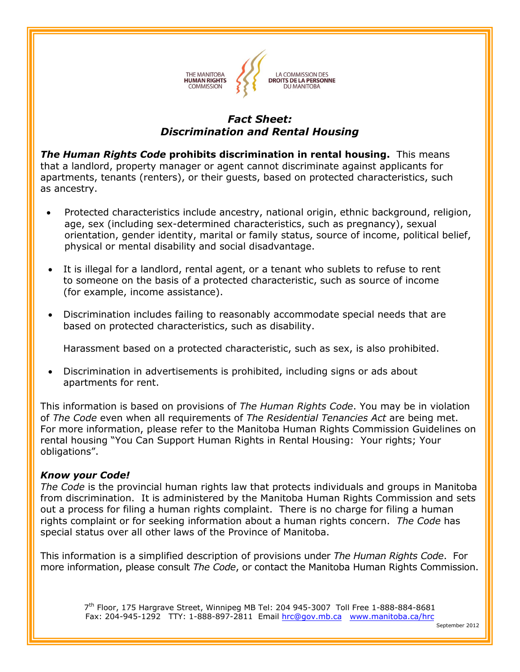

### **Fact Sheet: Discrimination and Rental Housing**

**The Human Rights Code prohibits discrimination in rental housing.** This means **The Human Rights Code prohibits discrimination in rental housing.** This means<br>that a landlord, property manager or agent cannot discriminate against applicants for that a landlord, property manager or agent cannot discriminate against applicants for<br>apartments, tenants (renters), or their guests, based on protected characteristics, such<br>as ancestry.

- Protected characteristics include ancestry, national origin, ethnic background, religion, Protected characteristics include ancestry, national origin, ethnic background, religi<br>age, sex (including sex-determined characteristics, such as pregnancy), sexual orientation, gender identity, marital or family status, source of income, political belief, physical or mental disability and social disadvantage.
- It is illegal for a landlord, rental agent, or a tenant who sublets to refuse to rent It is illegal for a landlord, rental agent, or a tenant who sublets to refuse to rent<br>to someone on the basis of a protected characteristic, such as source of income (for example, income assistance).
- Discrimination includes failing to reasonably accommodate special needs that are based on protected characteristics, such as disability.

Harassment based on a protected characteristic, such as sex, is also prohibited.

Discrimination in advertisements is prohibited, including signs or ads about apartments for rent.

**indees information is based on provisions of** *The Human Rights Code***. You may be in violation**  *The Code* even when all requirements of *The Residential Tenancies Act* are being met. Forof *The Code* even when all requirements of *The Residential Tenancies Act* are being met.<br>For more information, please refer to the Manitoba Human Rights Commission Guidelines on For more information, please refer to the Manitoba Human Rights Commission Guidelines o<br>rental housing "You Can Support Human Rights in Rental Housing: Your rights; Your obligations".

# *your Code! The*

**Know your Code!**<br>The Code is the provincial human rights law that protects individuals and groups in Manitoba The Code is the provincial human rights law that protects individuals and groups in Manitoba<br>from discrimination.It is administered by the Manitoba Human Rights Commission and sets from discrimination. It is administered by the Manitoba Human Rights Commission and sets<br>out a process for filing a human rights complaint. There is no charge for filing a human out a process for filing a human rights complaint. There is no charge for filing a human<br>rights complaint or for seeking information about a human rights concern. *The Code* has<br>special status over all other laws of the Pr

**in** This information is a simplified description of provisions under *The Human Rights Code*. For more information, please consult *The Code*, or contact the Manitoba Human Rights Commission.

 $7^{\rm th}$  Floor, 175 Hargrave Street, Winnipeg MB Tel: 204 945-3007 Toll Free 1-888-884-8681 Fax: 204-945-1292 TTY: 1-888-897-2811 Email [hrc@gov.mb.ca](mailto:hrc@gov.mb.ca) [www.manitoba.ca/hrc](https://www.manitoba.ca/hrc)